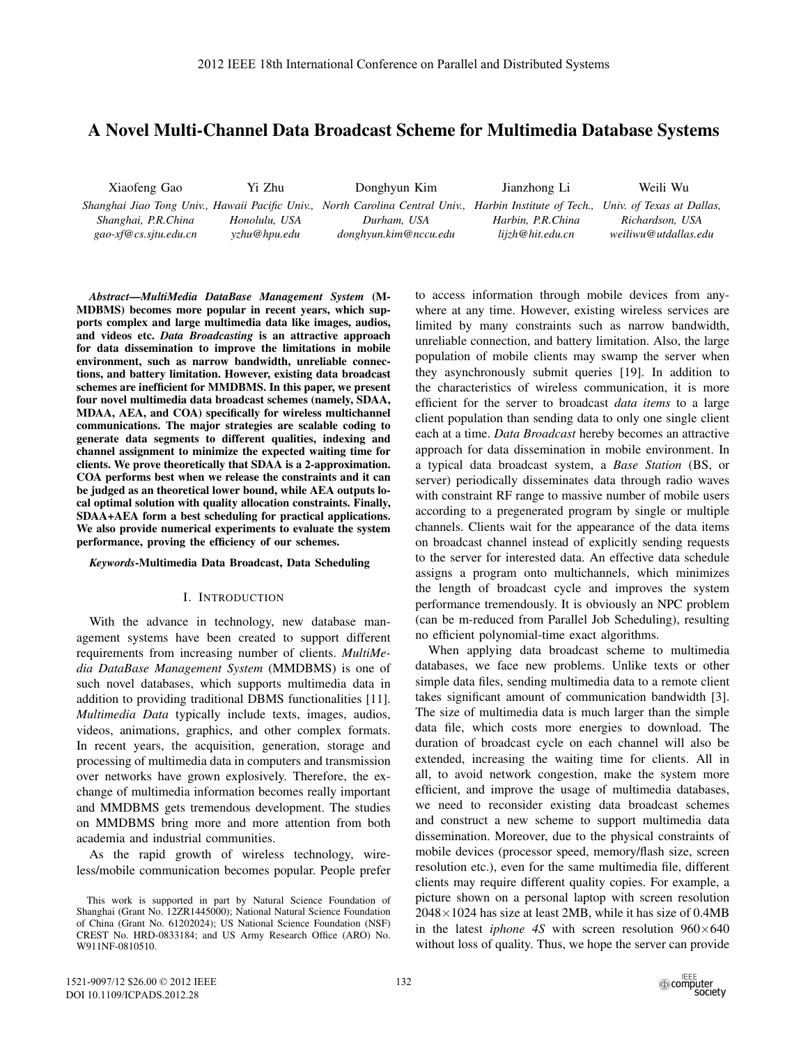# **A Novel Multi-Channel Data Broadcast Scheme for Multimedia Database Systems**

| Xiaofeng Gao                                 | Yi Zhu                        | Donghyun Kim                                                                                                                                     | Jianzhong Li                          | Weili Wu                                                             |
|----------------------------------------------|-------------------------------|--------------------------------------------------------------------------------------------------------------------------------------------------|---------------------------------------|----------------------------------------------------------------------|
| Shanghai, P.R.China<br>gao-xf@cs.sjtu.edu.cn | Honolulu, USA<br>yzhu@hpu.edu | Shanghai Jiao Tong Univ., Hawaii Pacific Univ., North Carolina Central Univ., Harbin Institute of Tech.,<br>Durham. USA<br>donghyun.kim@nccu.edu | Harbin, P.R.China<br>lijzh@hit.edu.cn | Univ. of Texas at Dallas,<br>Richardson, USA<br>weiliwu@utdallas.edu |

*Abstract***—***MultiMedia DataBase Management System* **(M-MDBMS) becomes more popular in recent years, which supports complex and large multimedia data like images, audios, and videos etc.** *Data Broadcasting* **is an attractive approach for data dissemination to improve the limitations in mobile environment, such as narrow bandwidth, unreliable connections, and battery limitation. However, existing data broadcast schemes are inefficient for MMDBMS. In this paper, we present four novel multimedia data broadcast schemes (namely, SDAA, MDAA, AEA, and COA) specifically for wireless multichannel communications. The major strategies are scalable coding to generate data segments to different qualities, indexing and channel assignment to minimize the expected waiting time for clients. We prove theoretically that SDAA is a 2-approximation. COA performs best when we release the constraints and it can be judged as an theoretical lower bound, while AEA outputs local optimal solution with quality allocation constraints. Finally, SDAA+AEA form a best scheduling for practical applications. We also provide numerical experiments to evaluate the system performance, proving the efficiency of our schemes.**

# *Keywords***-Multimedia Data Broadcast, Data Scheduling**

# I. INTRODUCTION

With the advance in technology, new database management systems have been created to support different requirements from increasing number of clients. *MultiMedia DataBase Management System* (MMDBMS) is one of such novel databases, which supports multimedia data in addition to providing traditional DBMS functionalities [11]. *Multimedia Data* typically include texts, images, audios, videos, animations, graphics, and other complex formats. In recent years, the acquisition, generation, storage and processing of multimedia data in computers and transmission over networks have grown explosively. Therefore, the exchange of multimedia information becomes really important and MMDBMS gets tremendous development. The studies on MMDBMS bring more and more attention from both academia and industrial communities.

As the rapid growth of wireless technology, wireless/mobile communication becomes popular. People prefer to access information through mobile devices from anywhere at any time. However, existing wireless services are limited by many constraints such as narrow bandwidth, unreliable connection, and battery limitation. Also, the large population of mobile clients may swamp the server when they asynchronously submit queries [19]. In addition to the characteristics of wireless communication, it is more efficient for the server to broadcast *data items* to a large client population than sending data to only one single client each at a time. *Data Broadcast* hereby becomes an attractive approach for data dissemination in mobile environment. In a typical data broadcast system, a *Base Station* (BS, or server) periodically disseminates data through radio waves with constraint RF range to massive number of mobile users according to a pregenerated program by single or multiple channels. Clients wait for the appearance of the data items on broadcast channel instead of explicitly sending requests to the server for interested data. An effective data schedule assigns a program onto multichannels, which minimizes the length of broadcast cycle and improves the system performance tremendously. It is obviously an NPC problem (can be m-reduced from Parallel Job Scheduling), resulting no efficient polynomial-time exact algorithms.

When applying data broadcast scheme to multimedia databases, we face new problems. Unlike texts or other simple data files, sending multimedia data to a remote client takes significant amount of communication bandwidth [3]. The size of multimedia data is much larger than the simple data file, which costs more energies to download. The duration of broadcast cycle on each channel will also be extended, increasing the waiting time for clients. All in all, to avoid network congestion, make the system more efficient, and improve the usage of multimedia databases, we need to reconsider existing data broadcast schemes and construct a new scheme to support multimedia data dissemination. Moreover, due to the physical constraints of mobile devices (processor speed, memory/flash size, screen resolution etc.), even for the same multimedia file, different clients may require different quality copies. For example, a picture shown on a personal laptop with screen resolution  $2048\times1024$  has size at least 2MB, while it has size of 0.4MB in the latest *iphone 4S* with screen resolution 960×640 without loss of quality. Thus, we hope the server can provide

This work is supported in part by Natural Science Foundation of Shanghai (Grant No. 12ZR1445000); National Natural Science Foundation of China (Grant No. 61202024); US National Science Foundation (NSF) CREST No. HRD-0833184; and US Army Research Office (ARO) No. W911NF-0810510.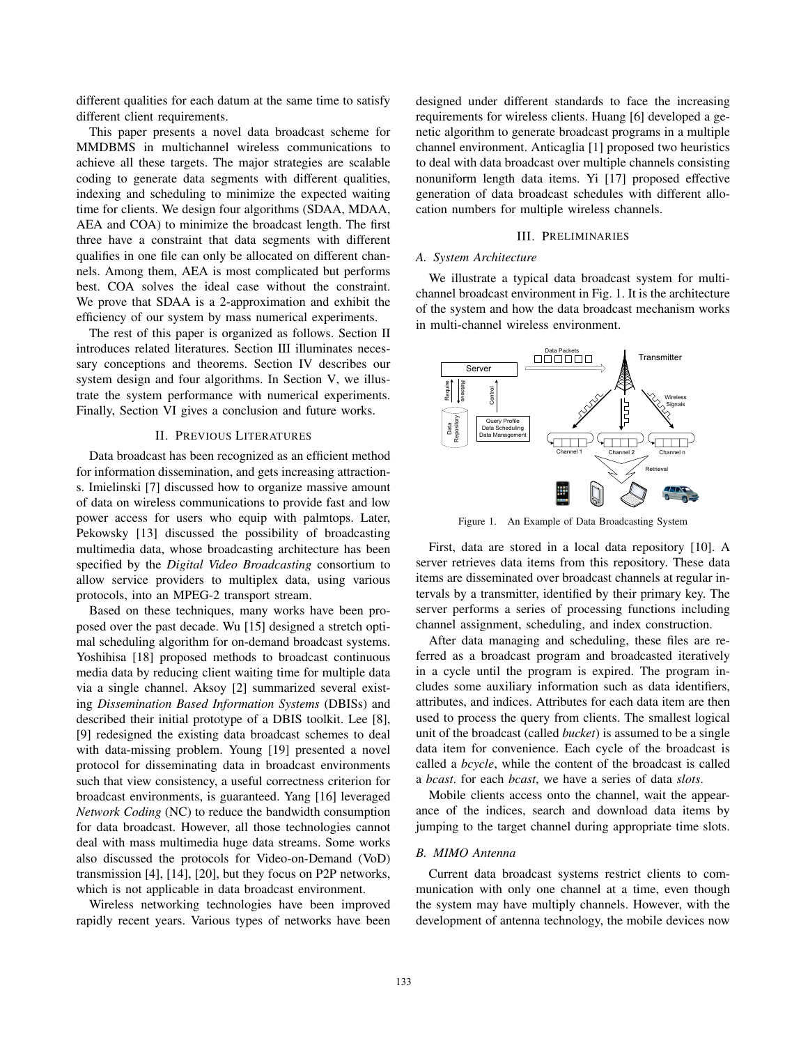different qualities for each datum at the same time to satisfy different client requirements.

This paper presents a novel data broadcast scheme for MMDBMS in multichannel wireless communications to achieve all these targets. The major strategies are scalable coding to generate data segments with different qualities, indexing and scheduling to minimize the expected waiting time for clients. We design four algorithms (SDAA, MDAA, AEA and COA) to minimize the broadcast length. The first three have a constraint that data segments with different qualifies in one file can only be allocated on different channels. Among them, AEA is most complicated but performs best. COA solves the ideal case without the constraint. We prove that SDAA is a 2-approximation and exhibit the efficiency of our system by mass numerical experiments.

The rest of this paper is organized as follows. Section II introduces related literatures. Section III illuminates necessary conceptions and theorems. Section IV describes our system design and four algorithms. In Section V, we illustrate the system performance with numerical experiments. Finally, Section VI gives a conclusion and future works.

# II. PREVIOUS LITERATURES

Data broadcast has been recognized as an efficient method for information dissemination, and gets increasing attractions. Imielinski [7] discussed how to organize massive amount of data on wireless communications to provide fast and low power access for users who equip with palmtops. Later, Pekowsky [13] discussed the possibility of broadcasting multimedia data, whose broadcasting architecture has been specified by the *Digital Video Broadcasting* consortium to allow service providers to multiplex data, using various protocols, into an MPEG-2 transport stream.

Based on these techniques, many works have been proposed over the past decade. Wu [15] designed a stretch optimal scheduling algorithm for on-demand broadcast systems. Yoshihisa [18] proposed methods to broadcast continuous media data by reducing client waiting time for multiple data via a single channel. Aksoy [2] summarized several existing *Dissemination Based Information Systems* (DBISs) and described their initial prototype of a DBIS toolkit. Lee [8], [9] redesigned the existing data broadcast schemes to deal with data-missing problem. Young [19] presented a novel protocol for disseminating data in broadcast environments such that view consistency, a useful correctness criterion for broadcast environments, is guaranteed. Yang [16] leveraged *Network Coding* (NC) to reduce the bandwidth consumption for data broadcast. However, all those technologies cannot deal with mass multimedia huge data streams. Some works also discussed the protocols for Video-on-Demand (VoD) transmission [4], [14], [20], but they focus on P2P networks, which is not applicable in data broadcast environment.

Wireless networking technologies have been improved rapidly recent years. Various types of networks have been designed under different standards to face the increasing requirements for wireless clients. Huang [6] developed a genetic algorithm to generate broadcast programs in a multiple channel environment. Anticaglia [1] proposed two heuristics to deal with data broadcast over multiple channels consisting nonuniform length data items. Yi [17] proposed effective generation of data broadcast schedules with different allocation numbers for multiple wireless channels.

#### III. PRELIMINARIES

#### *A. System Architecture*

We illustrate a typical data broadcast system for multichannel broadcast environment in Fig. 1. It is the architecture of the system and how the data broadcast mechanism works in multi-channel wireless environment.



Figure 1. An Example of Data Broadcasting System

First, data are stored in a local data repository [10]. A server retrieves data items from this repository. These data items are disseminated over broadcast channels at regular intervals by a transmitter, identified by their primary key. The server performs a series of processing functions including channel assignment, scheduling, and index construction.

After data managing and scheduling, these files are referred as a broadcast program and broadcasted iteratively in a cycle until the program is expired. The program includes some auxiliary information such as data identifiers, attributes, and indices. Attributes for each data item are then used to process the query from clients. The smallest logical unit of the broadcast (called *bucket*) is assumed to be a single data item for convenience. Each cycle of the broadcast is called a *bcycle*, while the content of the broadcast is called a *bcast*. for each *bcast*, we have a series of data *slots*.

Mobile clients access onto the channel, wait the appearance of the indices, search and download data items by jumping to the target channel during appropriate time slots.

#### *B. MIMO Antenna*

Current data broadcast systems restrict clients to communication with only one channel at a time, even though the system may have multiply channels. However, with the development of antenna technology, the mobile devices now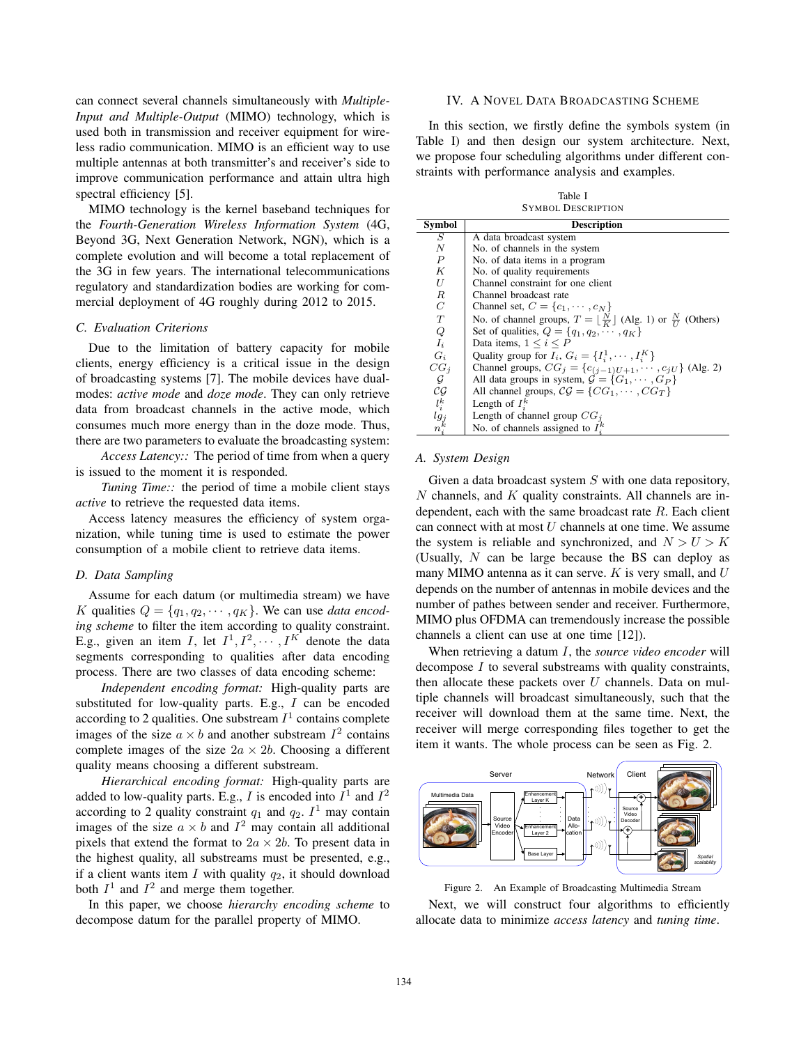can connect several channels simultaneously with *Multiple-Input and Multiple-Output* (MIMO) technology, which is used both in transmission and receiver equipment for wireless radio communication. MIMO is an efficient way to use multiple antennas at both transmitter's and receiver's side to improve communication performance and attain ultra high spectral efficiency [5].

MIMO technology is the kernel baseband techniques for the *Fourth-Generation Wireless Information System* (4G, Beyond 3G, Next Generation Network, NGN), which is a complete evolution and will become a total replacement of the 3G in few years. The international telecommunications regulatory and standardization bodies are working for commercial deployment of 4G roughly during 2012 to 2015.

## *C. Evaluation Criterions*

Due to the limitation of battery capacity for mobile clients, energy efficiency is a critical issue in the design of broadcasting systems [7]. The mobile devices have dualmodes: *active mode* and *doze mode*. They can only retrieve data from broadcast channels in the active mode, which consumes much more energy than in the doze mode. Thus, there are two parameters to evaluate the broadcasting system:

*Access Latency::* The period of time from when a query is issued to the moment it is responded.

*Tuning Time::* the period of time a mobile client stays *active* to retrieve the requested data items.

Access latency measures the efficiency of system organization, while tuning time is used to estimate the power consumption of a mobile client to retrieve data items.

# *D. Data Sampling*

Assume for each datum (or multimedia stream) we have K qualities  $Q = \{q_1, q_2, \dots, q_K\}$ . We can use *data encoding scheme* to filter the item according to quality constraint. E.g., given an item I, let  $I^1, I^2, \cdots, I^K$  denote the data segments corresponding to qualities after data encoding process. There are two classes of data encoding scheme:

*Independent encoding format:* High-quality parts are substituted for low-quality parts. E.g.,  $I$  can be encoded according to 2 qualities. One substream  $I<sup>1</sup>$  contains complete images of the size  $a \times b$  and another substream  $I^2$  contains complete images of the size  $2a \times 2b$ . Choosing a different quality means choosing a different substream.

*Hierarchical encoding format:* High-quality parts are added to low-quality parts. E.g., I is encoded into  $I^1$  and  $I^2$ according to 2 quality constraint  $q_1$  and  $q_2$ .  $I^1$  may contain images of the size  $a \times b$  and  $I^2$  may contain all additional pixels that extend the format to  $2a \times 2b$ . To present data in the highest quality, all substreams must be presented, e.g., if a client wants item I with quality  $q_2$ , it should download both  $I^1$  and  $I^2$  and merge them together.

In this paper, we choose *hierarchy encoding scheme* to decompose datum for the parallel property of MIMO.

# IV. A NOVEL DATA BROADCASTING SCHEME

In this section, we firstly define the symbols system (in Table I) and then design our system architecture. Next, we propose four scheduling algorithms under different constraints with performance analysis and examples.

Table I SYMBOL DESCRIPTION

| <b>Symbol</b>                                                                                                                             | <b>Description</b>                                                                          |
|-------------------------------------------------------------------------------------------------------------------------------------------|---------------------------------------------------------------------------------------------|
| S                                                                                                                                         | A data broadcast system                                                                     |
| $\overline{N}$                                                                                                                            | No. of channels in the system                                                               |
| $\boldsymbol{P}$                                                                                                                          | No. of data items in a program                                                              |
| K                                                                                                                                         | No. of quality requirements                                                                 |
| U                                                                                                                                         | Channel constraint for one client                                                           |
| $\boldsymbol{R}$                                                                                                                          | Channel broadcast rate                                                                      |
| $\overline{C}$                                                                                                                            | Channel set, $C = \{c_1, \dots, c_N\}$                                                      |
| T                                                                                                                                         | No. of channel groups, $T = \lfloor \frac{N}{K} \rfloor$ (Alg. 1) or $\frac{N}{U}$ (Others) |
| $\cal Q$                                                                                                                                  | Set of qualities, $Q = \{q_1, q_2, \cdots, q_K\}$                                           |
| $I_i$                                                                                                                                     | Data items, $1 \leq i \leq P$                                                               |
| $G_i$                                                                                                                                     | Quality group for $I_i$ , $G_i = \{I_i^1, \cdots, I_i^K\}$                                  |
| CG <sub>i</sub>                                                                                                                           | Channel groups, $CG_j = \{c_{(j-1)U+1}, \dots, c_{jU}\}\$ (Alg. 2)                          |
| $\mathcal G$                                                                                                                              | All data groups in system, $\mathcal{G} = \{G_1, \dots, G_P\}$                              |
|                                                                                                                                           | All channel groups, $\mathcal{CG} = \{CG_1, \cdots, CG_T\}$                                 |
|                                                                                                                                           | Length of $I_i^k$                                                                           |
| $\overset{\circ}{\mathcal{C}\mathcal{G}}\ \overset{l_{i}^{k}}{\underset{n_{i}^{k}}{l_{j}}}\ \overset{l_{j}}{\underset{n_{i}^{k}}{l_{j}}}$ | Length of channel group $CGi$                                                               |
|                                                                                                                                           | No. of channels assigned to $I^k_i$                                                         |

#### *A. System Design*

Given a data broadcast system  $S$  with one data repository,  $N$  channels, and  $K$  quality constraints. All channels are independent, each with the same broadcast rate  $R$ . Each client can connect with at most  $U$  channels at one time. We assume the system is reliable and synchronized, and  $N > U > K$ (Usually,  $N$  can be large because the BS can deploy as many MIMO antenna as it can serve.  $K$  is very small, and  $U$ depends on the number of antennas in mobile devices and the number of pathes between sender and receiver. Furthermore, MIMO plus OFDMA can tremendously increase the possible channels a client can use at one time [12]).

When retrieving a datum *I*, the *source video encoder* will decompose  $I$  to several substreams with quality constraints, then allocate these packets over  $U$  channels. Data on multiple channels will broadcast simultaneously, such that the receiver will download them at the same time. Next, the receiver will merge corresponding files together to get the item it wants. The whole process can be seen as Fig. 2.



Figure 2. An Example of Broadcasting Multimedia Stream

Next, we will construct four algorithms to efficiently allocate data to minimize *access latency* and *tuning time*.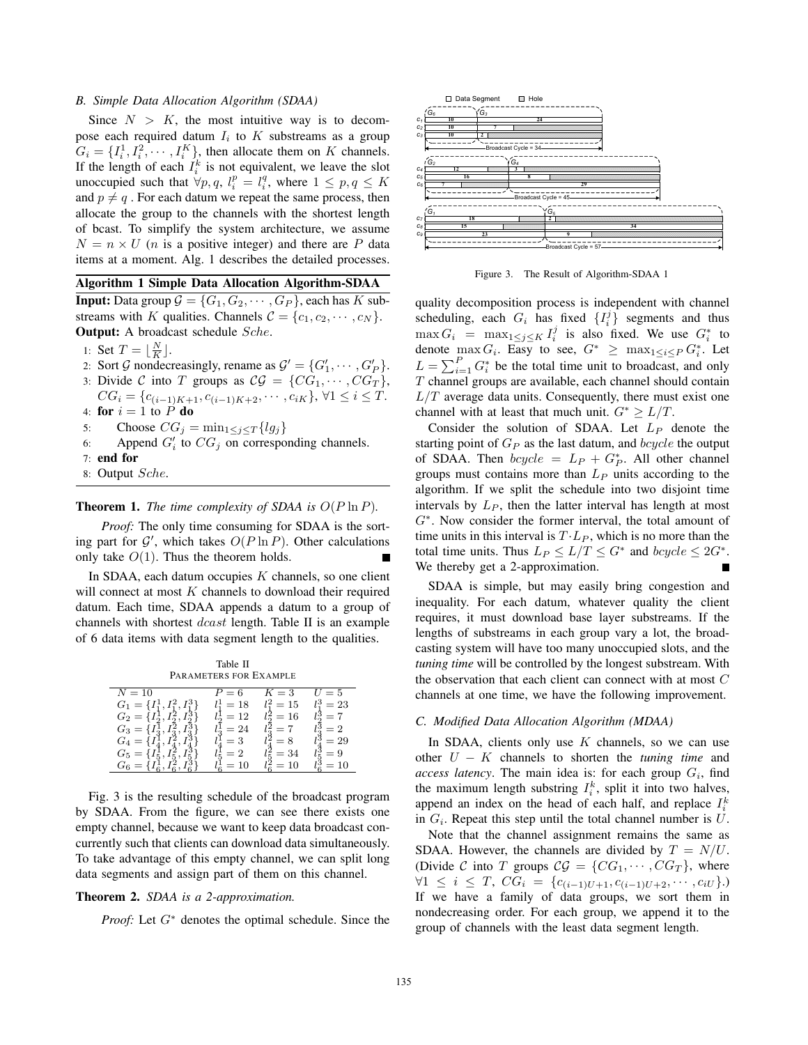# *B. Simple Data Allocation Algorithm (SDAA)*

Since  $N > K$ , the most intuitive way is to decompose each required datum  $I_i$  to  $K$  substreams as a group  $G_i = \{I_i^1, I_i^2, \cdots, I_i^K\}$ , then allocate them on K channels. If the length of each  $I_i^k$  is not equivalent, we leave the slot unoccupied such that  $\forall p, q, l_i^p = l_i^q$ , where  $1 \leq p, q \leq K$ and  $p \neq q$ . For each datum we repeat the same process, then allocate the group to the channels with the shortest length of bcast. To simplify the system architecture, we assume  $N = n \times U$  (*n* is a positive integer) and there are *P* data items at a moment. Alg. 1 describes the detailed processes.

# **Algorithm 1 Simple Data Allocation Algorithm-SDAA**

**Input:** Data group  $\mathcal{G} = \{G_1, G_2, \cdots, G_P\}$ , each has K substreams with K qualities. Channels  $C = \{c_1, c_2, \cdots, c_N\}.$ **Output:** A broadcast schedule Sche.

1: Set  $T = \lfloor \frac{N}{K} \rfloor$ .

- 2: Sort G nondecreasingly, rename as  $\mathcal{G}' = \{G'_1, \cdots, G'_P\}.$
- 3: Divide C into T groups as  $\mathcal{CG} = \{CG_1, \cdots, CG_T\},\$  $CG_i = \{c_{(i-1)K+1}, c_{(i-1)K+2}, \cdots, c_{iK}\}, \forall 1 \leq i \leq T.$
- 4: **for**  $i = 1$  to  $P$  **do**
- 5: Choose  $CG_j = \min_{1 \leq j \leq T} \{lg_j\}$ <br>6: Append  $G'_i$  to  $CG_j$  on correspo
- 6: Append  $G'_{i}$  to  $CG_{j}$  on corresponding channels.
- 7: **end for**
- 8: Output Sche.

# **Theorem 1.** *The time complexity of SDAA is*  $O(P \ln P)$ *.*

*Proof:* The only time consuming for SDAA is the sorting part for  $\mathcal{G}'$ , which takes  $O(P \ln P)$ . Other calculations only take  $O(1)$ . Thus the theorem holds.

In SDAA, each datum occupies  $K$  channels, so one client will connect at most  $K$  channels to download their required datum. Each time, SDAA appends a datum to a group of channels with shortest  $dcast$  length. Table II is an example of 6 data items with data segment length to the qualities.

| Table II               |  |
|------------------------|--|
| PARAMETERS FOR EXAMPLE |  |

| $N=10$                | $P=6$ | $K=3$        | $U=5$            |
|-----------------------|-------|--------------|------------------|
| $G_1 = \{I_1^1$<br>ŢЗ | $=18$ | $l_1^2 = 15$ | $l_1^3 = 23$     |
| $G_2 =$               | $=12$ | $=16$        |                  |
| $G_3 =$               | $=24$ |              | $= 2$<br>$\circ$ |
| $G_4 =$               | $=$ 3 |              | $=29$            |
| $G_5 =$               |       | $=34$        | $=9$             |
| $G6 =$                | $=10$ | $l_e^2=10$   | $=10$            |

Fig. 3 is the resulting schedule of the broadcast program by SDAA. From the figure, we can see there exists one empty channel, because we want to keep data broadcast concurrently such that clients can download data simultaneously. To take advantage of this empty channel, we can split long data segments and assign part of them on this channel.

## **Theorem 2.** *SDAA is a 2-approximation.*

*Proof:* Let  $G^*$  denotes the optimal schedule. Since the



Figure 3. The Result of Algorithm-SDAA 1

quality decomposition process is independent with channel scheduling, each  $G_i$  has fixed  $\{I_i^j\}$  segments and thus  $\max G_i = \max_{1 \leq j \leq K} I_i^j$  is also fixed. We use  $G_i^*$  to denote  $\max_{P} G_i$ . Easy to see,  $G^* \ge \max_{1 \le i \le P} G_i^*$ . Let  $L = \sum_{i=1}^{P} G_i^*$  be the total time unit to broadcast, and only  $T$  channel groups are available, each channel should contain  $L/T$  average data units. Consequently, there must exist one channel with at least that much unit.  $G^* \geq L/T$ .

Consider the solution of SDAA. Let  $L_P$  denote the starting point of  $G_P$  as the last datum, and  $bcycle$  the output of SDAA. Then  $bcycle = L_P + G_P^*$ . All other channel groups must contains more than  $L<sub>P</sub>$  units according to the algorithm. If we split the schedule into two disjoint time intervals by  $L<sub>P</sub>$ , then the latter interval has length at most  $G^*$ . Now consider the former interval, the total amount of time units in this interval is  $T \cdot L_P$ , which is no more than the total time units. Thus  $L_P \leq L/T \leq G^*$  and  $bcycle \leq 2G^*$ . We thereby get a 2-approximation.

SDAA is simple, but may easily bring congestion and inequality. For each datum, whatever quality the client requires, it must download base layer substreams. If the lengths of substreams in each group vary a lot, the broadcasting system will have too many unoccupied slots, and the *tuning time* will be controlled by the longest substream. With the observation that each client can connect with at most  $C$ channels at one time, we have the following improvement.

#### *C. Modified Data Allocation Algorithm (MDAA)*

In SDAA, clients only use  $K$  channels, so we can use other  $U - K$  channels to shorten the *tuning time* and *access latency*. The main idea is: for each group  $G_i$ , find the maximum length substring  $I_i^k$ , split it into two halves, append an index on the head of each half, and replace  $I_i^k$ in  $G_i$ . Repeat this step until the total channel number is  $U$ .

Note that the channel assignment remains the same as SDAA. However, the channels are divided by  $T = N/U$ . (Divide C into T groups  $\mathcal{CG} = \{CG_1, \cdots, CG_T\}$ , where  $\forall 1 \leq i \leq T, \ CG_i = \{c_{(i-1)U+1}, c_{(i-1)U+2}, \cdots, c_{iU}\}.$ If we have a family of data groups, we sort them in nondecreasing order. For each group, we append it to the group of channels with the least data segment length.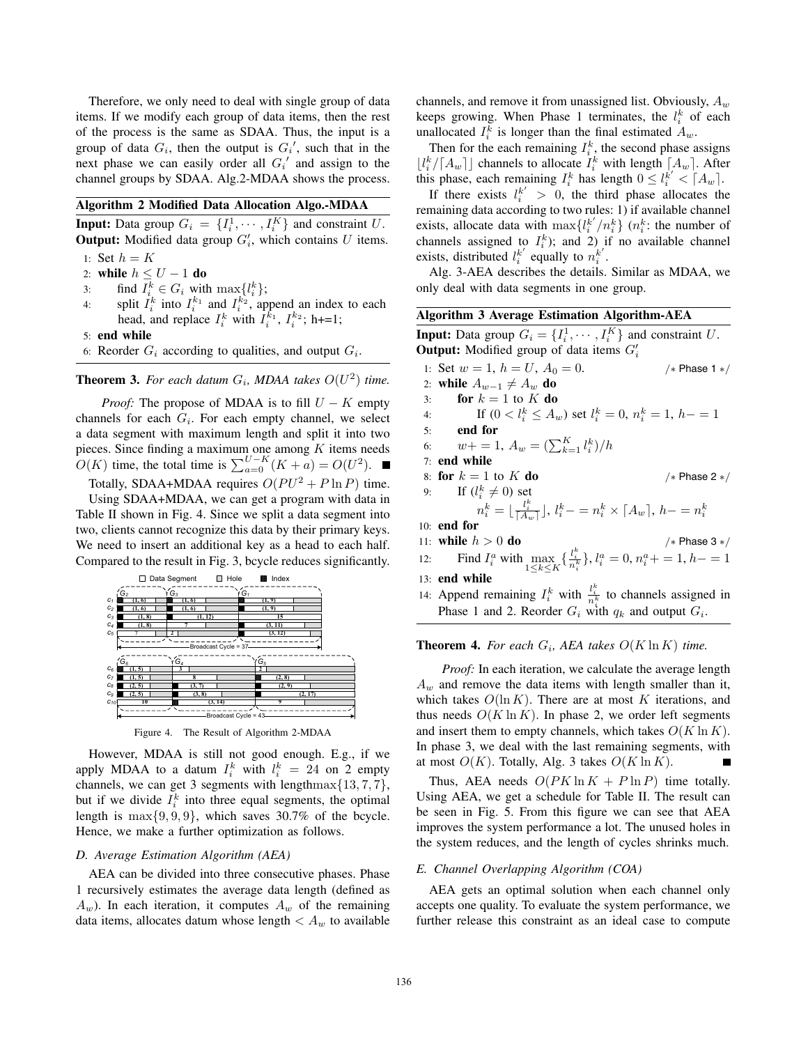Therefore, we only need to deal with single group of data items. If we modify each group of data items, then the rest of the process is the same as SDAA. Thus, the input is a group of data  $G_i$ , then the output is  $G_i'$ , such that in the next phase we can easily order all  $G_i'$  and assign to the channel groups by SDAA. Alg.2-MDAA shows the process.

# **Algorithm 2 Modified Data Allocation Algo.-MDAA**

**Input:** Data group  $G_i = \{I_i^1, \dots, I_i^K\}$  and constraint U. **Output:** Modified data group  $G'_{i}$ , which contains  $U$  items.

1: Set  $h = K$ 

2: **while**  $h \le U - 1$  **do** 

- 3: find  $I_i^k \in G_i$  with  $\max\{l_i^k\};$
- 4: split  $I_i^k$  into  $I_i^{k_1}$  and  $I_i^{k_2}$ , append an index to each head, and replace  $I_i^k$  with  $I_i^{k_1}$ ,  $I_i^{k_2}$ ; h+=1;
- 5: **end while**
- 6: Reorder  $G_i$  according to qualities, and output  $G_i$ .

**Theorem 3.** For each datum  $G_i$ , MDAA takes  $O(U^2)$  time.

*Proof:* The propose of MDAA is to fill  $U - K$  empty channels for each  $G_i$ . For each empty channel, we select a data segment with maximum length and split it into two pieces. Since finding a maximum one among  $K$  items needs  $O(K)$  time, the total time is  $\sum_{a=0}^{U-K} (K+a) = O(U^2)$ .

Totally, SDAA+MDAA requires  $O(PU^2 + P \ln P)$  time.

Using SDAA+MDAA, we can get a program with data in Table II shown in Fig. 4. Since we split a data segment into two, clients cannot recognize this data by their primary keys. We need to insert an additional key as a head to each half. Compared to the result in Fig. 3, bcycle reduces significantly.



Figure 4. The Result of Algorithm 2-MDAA

However, MDAA is still not good enough. E.g., if we apply MDAA to a datum  $I_i^k$  with  $l_i^k = 24$  on 2 empty channels, we can get 3 segments with lengthmax $\{13, 7, 7\}$ , but if we divide  $I_i^k$  into three equal segments, the optimal length is  $\max\{9, 9, 9\}$ , which saves 30.7% of the bcycle. Hence, we make a further optimization as follows.

# *D. Average Estimation Algorithm (AEA)*

AEA can be divided into three consecutive phases. Phase 1 recursively estimates the average data length (defined as  $A_w$ ). In each iteration, it computes  $A_w$  of the remaining data items, allocates datum whose length  $\lt A_w$  to available channels, and remove it from unassigned list. Obviously,  $A_w$ keeps growing. When Phase 1 terminates, the  $l_i^k$  of each unallocated  $I_i^k$  is longer than the final estimated  $A_w$ .

Then for the each remaining  $I_i^k$ , the second phase assigns  $\lfloor l_i^k / \lceil A_w \rceil \rfloor$  channels to allocate  $I_i^k$  with length  $\lfloor A_w \rceil$ . After this phase, each remaining  $I_i^k$  has length  $0 \leq l_i^{k'} < \lceil A_w \rceil$ .

If there exists  $l_i^{k'} > 0$ , the third phase allocates the remaining data according to two rules: 1) if available channel exists, allocate data with  $\max\{l_i^{k'}/n_i^k\}$  ( $n_i^k$ : the number of channels assigned to  $I_i^k$ ); and 2) if no available channel exists, distributed  $l_i^{k'}$  equally to  $n_i^{k'}$ .

Alg. 3-AEA describes the details. Similar as MDAA, we only deal with data segments in one group.

| <b>Algorithm 3 Average Estimation Algorithm-AEA</b> |  |  |
|-----------------------------------------------------|--|--|
|-----------------------------------------------------|--|--|

**Input:** Data group  $G_i = \{I_i^1, \dots, I_i^K\}$  and constraint U. **Output:** Modified group of data items  $G_i'$ 

|     | 1: Set $w = 1$ , $h = U$ , $A_0 = 0$ .                                                                                  | /* Phase $1*/$ |
|-----|-------------------------------------------------------------------------------------------------------------------------|----------------|
|     | 2: while $A_{w-1} \neq A_w$ do                                                                                          |                |
| 3:  | for $k = 1$ to K do                                                                                                     |                |
| 4:  | If $(0 < l_i^k \le A_w)$ set $l_i^k = 0$ , $n_i^k = 1$ , $h - 1$                                                        |                |
|     | end for<br>5:                                                                                                           |                |
| 6:  | $w+=1, A_w=(\sum_{k=1}^K l_i^k)/h$                                                                                      |                |
|     | $7:$ end while                                                                                                          |                |
|     | 8: for $k=1$ to K do                                                                                                    | /* Phase $2*/$ |
|     | If $(l_i^k \neq 0)$ set<br>9:                                                                                           |                |
|     | $n_i^k = \lfloor \frac{l_i^k}{\lceil A_{} \rceil} \rfloor$ , $l_i^k - = n_i^k \times \lceil A_w \rceil$ , $h - = n_i^k$ |                |
|     | $10:$ end for                                                                                                           |                |
|     | 11: while $h > 0$ do                                                                                                    | /* Phase $3*/$ |
| 12: | Find $I_i^a$ with $\max_{1 \le k \le K} {\{\frac{l_i^k}{n_i^k}\}, \{l_i^a = 0, n_i^a + \dots \le L\}}$                  |                |
|     | $13:$ end while                                                                                                         |                |
|     | 14: Append remaining $I_i^k$ with $\frac{l_i^k}{n^k}$ to channels assigned in                                           |                |
|     | Phase 1 and 2. Reorder $G_i$ with $q_k$ and output $G_i$ .                                                              |                |

**Theorem 4.** For each  $G_i$ , AEA takes  $O(K \ln K)$  time.

*Proof:* In each iteration, we calculate the average length  $A_w$  and remove the data items with length smaller than it, which takes  $O(\ln K)$ . There are at most K iterations, and thus needs  $O(K \ln K)$ . In phase 2, we order left segments and insert them to empty channels, which takes  $O(K \ln K)$ . In phase 3, we deal with the last remaining segments, with at most  $O(K)$ . Totally, Alg. 3 takes  $O(K \ln K)$ .

Thus, AEA needs  $O(PK \ln K + P \ln P)$  time totally. Using AEA, we get a schedule for Table II. The result can be seen in Fig. 5. From this figure we can see that AEA improves the system performance a lot. The unused holes in the system reduces, and the length of cycles shrinks much.

#### *E. Channel Overlapping Algorithm (COA)*

AEA gets an optimal solution when each channel only accepts one quality. To evaluate the system performance, we further release this constraint as an ideal case to compute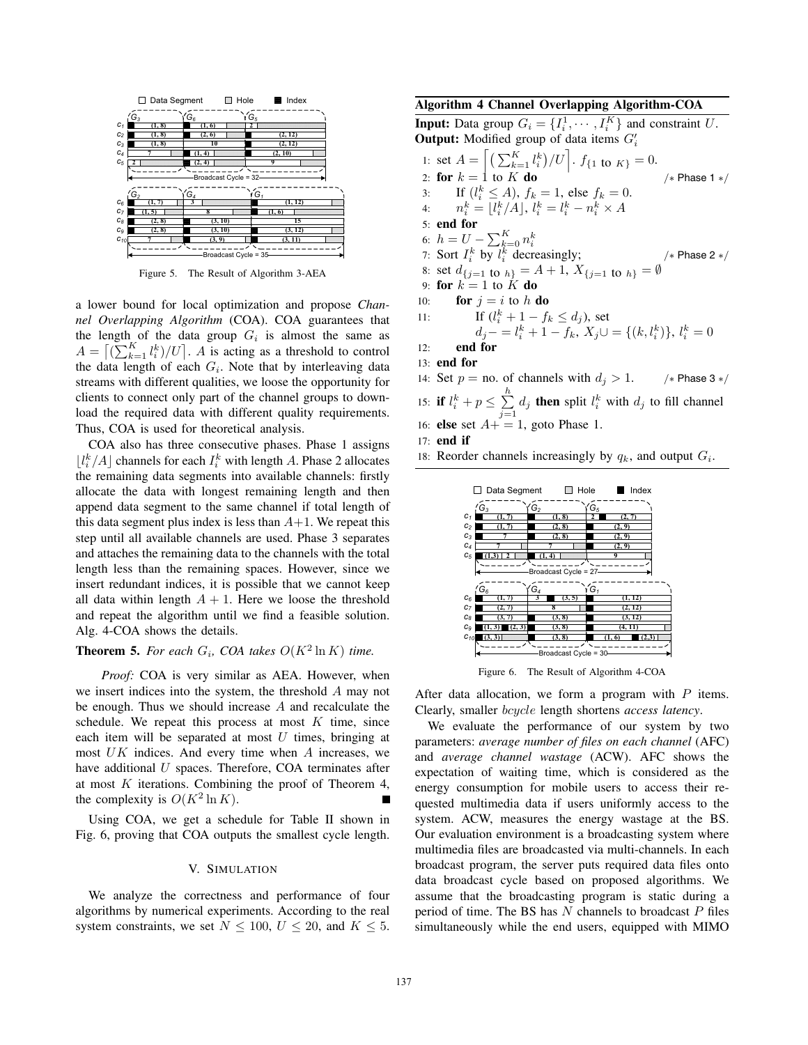

Figure 5. The Result of Algorithm 3-AEA

a lower bound for local optimization and propose *Channel Overlapping Algorithm* (COA). COA guarantees that the length of the data group  $G_i$  is almost the same as  $A = \left[ (\sum_{k=1}^{K} l_i^k)/U \right]$ . A is acting as a threshold to control the data length of each  $G_i$ . Note that by interleaving data streams with different qualities, we loose the opportunity for clients to connect only part of the channel groups to download the required data with different quality requirements. Thus, COA is used for theoretical analysis.

COA also has three consecutive phases. Phase 1 assigns  $\lfloor l_i^k/A \rfloor$  channels for each  $I_i^k$  with length A. Phase 2 allocates the remaining data segments into available channels: firstly allocate the data with longest remaining length and then append data segment to the same channel if total length of this data segment plus index is less than  $A+1$ . We repeat this step until all available channels are used. Phase 3 separates and attaches the remaining data to the channels with the total length less than the remaining spaces. However, since we insert redundant indices, it is possible that we cannot keep all data within length  $A + 1$ . Here we loose the threshold and repeat the algorithm until we find a feasible solution. Alg. 4-COA shows the details.

## **Theorem 5.** For each  $G_i$ , COA takes  $O(K^2 \ln K)$  time.

*Proof:* COA is very similar as AEA. However, when we insert indices into the system, the threshold  $A$  may not be enough. Thus we should increase  $A$  and recalculate the schedule. We repeat this process at most  $K$  time, since each item will be separated at most  $U$  times, bringing at most  $UK$  indices. And every time when  $A$  increases, we have additional  $U$  spaces. Therefore, COA terminates after at most  $K$  iterations. Combining the proof of Theorem 4, the complexity is  $O(K^2 \ln K)$ .

Using COA, we get a schedule for Table II shown in Fig. 6, proving that COA outputs the smallest cycle length.

#### V. SIMULATION

We analyze the correctness and performance of four algorithms by numerical experiments. According to the real system constraints, we set  $N \le 100$ ,  $U \le 20$ , and  $K \le 5$ .

# **Algorithm 4 Channel Overlapping Algorithm-COA**

**Input:** Data group  $G_i = \{I_i^1, \dots, I_i^K\}$  and constraint U. **Output:** Modified group of data items  $G_i'$ 

1: set  $A = \left[ \left( \sum_{k=1}^{K} l_i^k \right) / U \right]$ .  $f_{\{1 \text{ to } K\}} = 0$ . 2: **for**  $k = 1$  to  $K$  **do**  $\hspace{1cm}$  /\* Phase 1 \*/ 3: If  $(l_i^k \leq A)$ ,  $f_k = 1$ , else  $f_k = 0$ . 4:  $n_i^k = \lfloor l_i^k / A \rfloor, l_i^k = l_i^k - n_i^k \times A$ 5: **end for** 6:  $h = U - \sum_{k=0}^{K} n_i^k$ <br>7: Sort  $I_i^k$  by  $l_i^k$  decreasingly;  $\hspace{1cm}$  /\* Phase 2 \*/ 8: set  $d_{\{j=1 \text{ to } h\}} = A + 1$ ,  $X_{\{j=1 \text{ to } h\}} = \emptyset$ 9: **for**  $k = 1$  to  $K$  **do** 10: **for**  $j = i$  to h **do** 11: If  $(l_i^k + 1 - f_k \le d_j)$ , set  $d_j - = l_i^k + 1 - f_k, X_j \cup = \{(k, l_i^k)\}, l_i^k = 0$  $12:$ 13: **end for** 14: Set  $p =$  no. of channels with  $d_i > 1$ . /\* Phase 3 \*/ 15: **if**  $l_i^k + p \leq \sum^{h}$  $\sum_{j=1} d_j$  **then** split  $l_i^k$  with  $d_j$  to fill channel 16: **else** set  $A + = 1$ , goto Phase 1.

17: **end if**

18: Reorder channels increasingly by  $q_k$ , and output  $G_i$ .



Figure 6. The Result of Algorithm 4-COA

After data allocation, we form a program with  $P$  items. Clearly, smaller *bcycle* length shortens *access latency*.

We evaluate the performance of our system by two parameters: *average number of files on each channel* (AFC) and *average channel wastage* (ACW). AFC shows the expectation of waiting time, which is considered as the energy consumption for mobile users to access their requested multimedia data if users uniformly access to the system. ACW, measures the energy wastage at the BS. Our evaluation environment is a broadcasting system where multimedia files are broadcasted via multi-channels. In each broadcast program, the server puts required data files onto data broadcast cycle based on proposed algorithms. We assume that the broadcasting program is static during a period of time. The BS has  $N$  channels to broadcast  $P$  files simultaneously while the end users, equipped with MIMO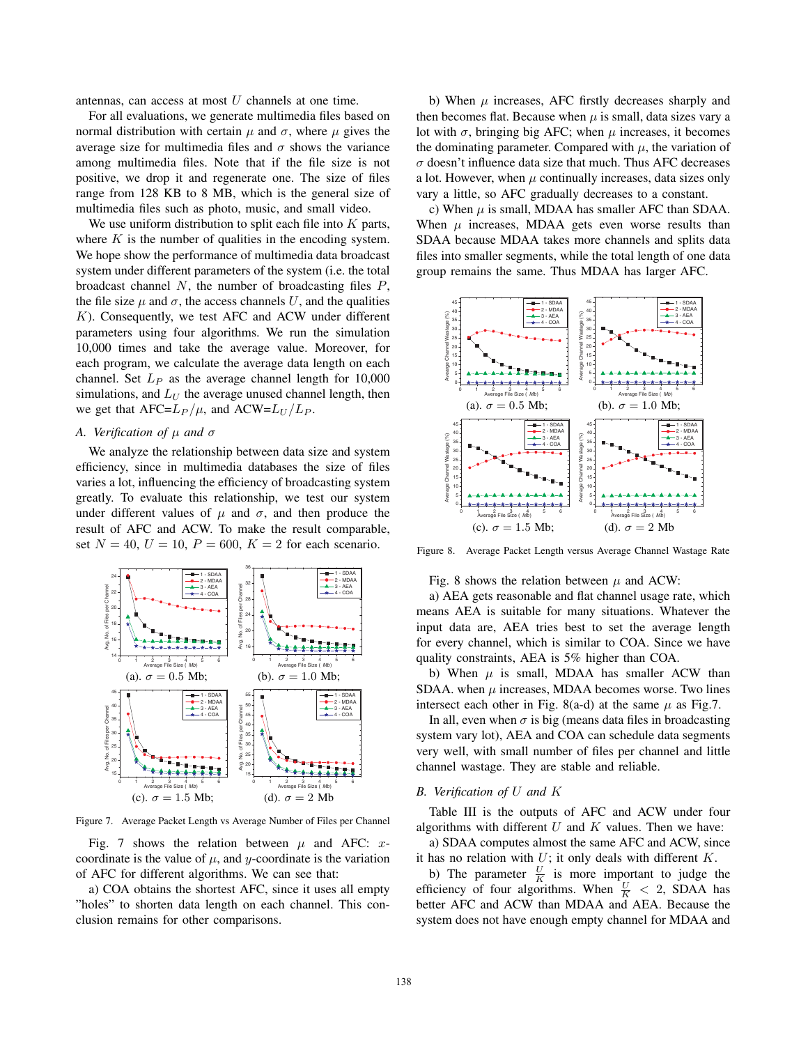antennas, can access at most  $U$  channels at one time.

For all evaluations, we generate multimedia files based on normal distribution with certain  $\mu$  and  $\sigma$ , where  $\mu$  gives the average size for multimedia files and  $\sigma$  shows the variance among multimedia files. Note that if the file size is not positive, we drop it and regenerate one. The size of files range from 128 KB to 8 MB, which is the general size of multimedia files such as photo, music, and small video.

We use uniform distribution to split each file into  $K$  parts, where  $K$  is the number of qualities in the encoding system. We hope show the performance of multimedia data broadcast system under different parameters of the system (i.e. the total broadcast channel  $N$ , the number of broadcasting files  $P$ , the file size  $\mu$  and  $\sigma$ , the access channels U, and the qualities ). Consequently, we test AFC and ACW under different parameters using four algorithms. We run the simulation 10,000 times and take the average value. Moreover, for each program, we calculate the average data length on each channel. Set  $L_P$  as the average channel length for 10,000 simulations, and  $L_U$  the average unused channel length, then we get that  $AFC = L_P/\mu$ , and  $ACW = L_U/L_P$ .

# A. Verification of  $\mu$  and  $\sigma$

We analyze the relationship between data size and system efficiency, since in multimedia databases the size of files varies a lot, influencing the efficiency of broadcasting system greatly. To evaluate this relationship, we test our system under different values of  $\mu$  and  $\sigma$ , and then produce the result of AFC and ACW. To make the result comparable, set  $N = 40$ ,  $U = 10$ ,  $P = 600$ ,  $K = 2$  for each scenario.



Figure 7. Average Packet Length vs Average Number of Files per Channel

Fig. 7 shows the relation between  $\mu$  and AFC: xcoordinate is the value of  $\mu$ , and y-coordinate is the variation of AFC for different algorithms. We can see that:

a) COA obtains the shortest AFC, since it uses all empty "holes" to shorten data length on each channel. This conclusion remains for other comparisons.

b) When  $\mu$  increases, AFC firstly decreases sharply and then becomes flat. Because when  $\mu$  is small, data sizes vary a lot with  $\sigma$ , bringing big AFC; when  $\mu$  increases, it becomes the dominating parameter. Compared with  $\mu$ , the variation of  $\sigma$  doesn't influence data size that much. Thus AFC decreases a lot. However, when  $\mu$  continually increases, data sizes only vary a little, so AFC gradually decreases to a constant.

c) When  $\mu$  is small, MDAA has smaller AFC than SDAA. When  $\mu$  increases, MDAA gets even worse results than SDAA because MDAA takes more channels and splits data files into smaller segments, while the total length of one data group remains the same. Thus MDAA has larger AFC.



Figure 8. Average Packet Length versus Average Channel Wastage Rate

Fig. 8 shows the relation between  $\mu$  and ACW:

a) AEA gets reasonable and flat channel usage rate, which means AEA is suitable for many situations. Whatever the input data are, AEA tries best to set the average length for every channel, which is similar to COA. Since we have quality constraints, AEA is 5% higher than COA.

b) When  $\mu$  is small, MDAA has smaller ACW than SDAA. when  $\mu$  increases, MDAA becomes worse. Two lines intersect each other in Fig. 8(a-d) at the same  $\mu$  as Fig.7.

In all, even when  $\sigma$  is big (means data files in broadcasting system vary lot), AEA and COA can schedule data segments very well, with small number of files per channel and little channel wastage. They are stable and reliable.

# *B.* Verification of U and K

Table III is the outputs of AFC and ACW under four algorithms with different  $U$  and  $K$  values. Then we have:

a) SDAA computes almost the same AFC and ACW, since it has no relation with  $U$ ; it only deals with different  $K$ .

b) The parameter  $\frac{U}{K}$  is more important to judge the efficiency of four algorithms. When  $\frac{U}{K}$  < 2, SDAA has better AFC and ACW than MDAA and AEA. Because the system does not have enough empty channel for MDAA and